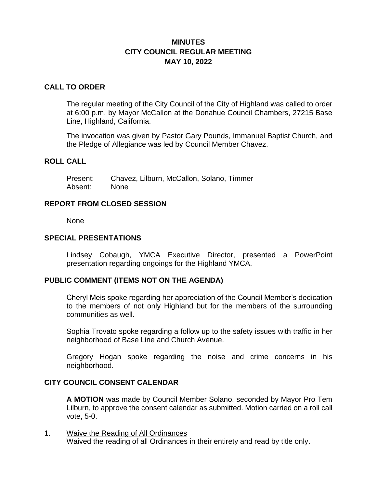## **MINUTES CITY COUNCIL REGULAR MEETING MAY 10, 2022**

#### **CALL TO ORDER**

The regular meeting of the City Council of the City of Highland was called to order at 6:00 p.m. by Mayor McCallon at the Donahue Council Chambers, 27215 Base Line, Highland, California.

The invocation was given by Pastor Gary Pounds, Immanuel Baptist Church, and the Pledge of Allegiance was led by Council Member Chavez.

## **ROLL CALL**

Present: Chavez, Lilburn, McCallon, Solano, Timmer Absent: None

#### **REPORT FROM CLOSED SESSION**

None

#### **SPECIAL PRESENTATIONS**

Lindsey Cobaugh, YMCA Executive Director, presented a PowerPoint presentation regarding ongoings for the Highland YMCA.

### **PUBLIC COMMENT (ITEMS NOT ON THE AGENDA)**

Cheryl Meis spoke regarding her appreciation of the Council Member's dedication to the members of not only Highland but for the members of the surrounding communities as well.

Sophia Trovato spoke regarding a follow up to the safety issues with traffic in her neighborhood of Base Line and Church Avenue.

Gregory Hogan spoke regarding the noise and crime concerns in his neighborhood.

### **CITY COUNCIL CONSENT CALENDAR**

**A MOTION** was made by Council Member Solano, seconded by Mayor Pro Tem Lilburn, to approve the consent calendar as submitted. Motion carried on a roll call vote, 5-0.

1. Waive the Reading of All Ordinances Waived the reading of all Ordinances in their entirety and read by title only.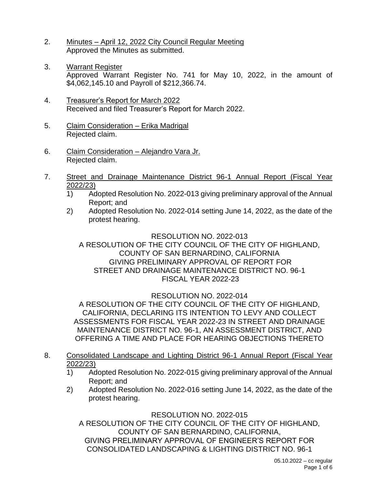- 2. Minutes April 12, 2022 City Council Regular Meeting Approved the Minutes as submitted.
- 3. Warrant Register Approved Warrant Register No. 741 for May 10, 2022, in the amount of \$4,062,145.10 and Payroll of \$212,366.74.
- 4. Treasurer's Report for March 2022 Received and filed Treasurer's Report for March 2022.
- 5. Claim Consideration Erika Madrigal Rejected claim.
- 6. Claim Consideration Alejandro Vara Jr. Rejected claim.
- 7. Street and Drainage Maintenance District 96-1 Annual Report (Fiscal Year 2022/23)
	- 1) Adopted Resolution No. 2022-013 giving preliminary approval of the Annual Report; and
	- 2) Adopted Resolution No. 2022-014 setting June 14, 2022, as the date of the protest hearing.

#### RESOLUTION NO. 2022-013 A RESOLUTION OF THE CITY COUNCIL OF THE CITY OF HIGHLAND, COUNTY OF SAN BERNARDINO, CALIFORNIA GIVING PRELIMINARY APPROVAL OF REPORT FOR STREET AND DRAINAGE MAINTENANCE DISTRICT NO. 96-1 FISCAL YEAR 2022-23

# RESOLUTION NO. 2022-014

A RESOLUTION OF THE CITY COUNCIL OF THE CITY OF HIGHLAND, CALIFORNIA, DECLARING ITS INTENTION TO LEVY AND COLLECT ASSESSMENTS FOR FISCAL YEAR 2022-23 IN STREET AND DRAINAGE MAINTENANCE DISTRICT NO. 96-1, AN ASSESSMENT DISTRICT, AND OFFERING A TIME AND PLACE FOR HEARING OBJECTIONS THERETO

- 8. Consolidated Landscape and Lighting District 96-1 Annual Report (Fiscal Year 2022/23)
	- 1) Adopted Resolution No. 2022-015 giving preliminary approval of the Annual Report; and
	- 2) Adopted Resolution No. 2022-016 setting June 14, 2022, as the date of the protest hearing.

RESOLUTION NO. 2022-015

A RESOLUTION OF THE CITY COUNCIL OF THE CITY OF HIGHLAND, COUNTY OF SAN BERNARDINO, CALIFORNIA, GIVING PRELIMINARY APPROVAL OF ENGINEER'S REPORT FOR CONSOLIDATED LANDSCAPING & LIGHTING DISTRICT NO. 96-1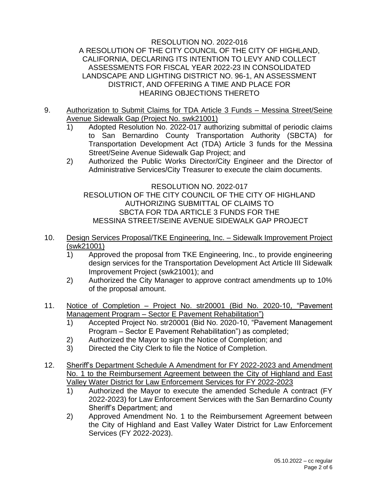### RESOLUTION NO. 2022-016 A RESOLUTION OF THE CITY COUNCIL OF THE CITY OF HIGHLAND, CALIFORNIA, DECLARING ITS INTENTION TO LEVY AND COLLECT ASSESSMENTS FOR FISCAL YEAR 2022-23 IN CONSOLIDATED LANDSCAPE AND LIGHTING DISTRICT NO. 96-1, AN ASSESSMENT DISTRICT, AND OFFERING A TIME AND PLACE FOR HEARING OBJECTIONS THERETO

- 9. Authorization to Submit Claims for TDA Article 3 Funds Messina Street/Seine Avenue Sidewalk Gap (Project No. swk21001)
	- 1) Adopted Resolution No. 2022-017 authorizing submittal of periodic claims to San Bernardino County Transportation Authority (SBCTA) for Transportation Development Act (TDA) Article 3 funds for the Messina Street/Seine Avenue Sidewalk Gap Project; and
	- 2) Authorized the Public Works Director/City Engineer and the Director of Administrative Services/City Treasurer to execute the claim documents.

RESOLUTION NO. 2022-017 RESOLUTION OF THE CITY COUNCIL OF THE CITY OF HIGHLAND AUTHORIZING SUBMITTAL OF CLAIMS TO SBCTA FOR TDA ARTICLE 3 FUNDS FOR THE MESSINA STREET/SEINE AVENUE SIDEWALK GAP PROJECT

- 10. Design Services Proposal/TKE Engineering, Inc. Sidewalk Improvement Project (swk21001)
	- 1) Approved the proposal from TKE Engineering, Inc., to provide engineering design services for the Transportation Development Act Article III Sidewalk Improvement Project (swk21001); and
	- 2) Authorized the City Manager to approve contract amendments up to 10% of the proposal amount.
- 11. Notice of Completion Project No. str20001 (Bid No. 2020-10, "Pavement Management Program – Sector E Pavement Rehabilitation")
	- 1) Accepted Project No. str20001 (Bid No. 2020-10, "Pavement Management Program – Sector E Pavement Rehabilitation") as completed;
	- 2) Authorized the Mayor to sign the Notice of Completion; and
	- 3) Directed the City Clerk to file the Notice of Completion.
- 12. Sheriff's Department Schedule A Amendment for FY 2022-2023 and Amendment No. 1 to the Reimbursement Agreement between the City of Highland and East Valley Water District for Law Enforcement Services for FY 2022-2023
	- 1) Authorized the Mayor to execute the amended Schedule A contract (FY 2022-2023) for Law Enforcement Services with the San Bernardino County Sheriff's Department; and
	- 2) Approved Amendment No. 1 to the Reimbursement Agreement between the City of Highland and East Valley Water District for Law Enforcement Services (FY 2022-2023).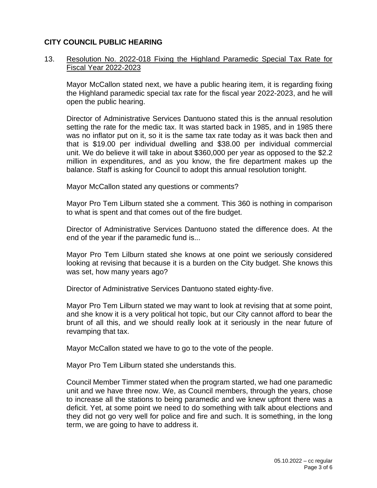## **CITY COUNCIL PUBLIC HEARING**

### 13. Resolution No. 2022-018 Fixing the Highland Paramedic Special Tax Rate for Fiscal Year 2022-2023

Mayor McCallon stated next, we have a public hearing item, it is regarding fixing the Highland paramedic special tax rate for the fiscal year 2022-2023, and he will open the public hearing.

Director of Administrative Services Dantuono stated this is the annual resolution setting the rate for the medic tax. It was started back in 1985, and in 1985 there was no inflator put on it, so it is the same tax rate today as it was back then and that is \$19.00 per individual dwelling and \$38.00 per individual commercial unit. We do believe it will take in about \$360,000 per year as opposed to the \$2.2 million in expenditures, and as you know, the fire department makes up the balance. Staff is asking for Council to adopt this annual resolution tonight.

Mayor McCallon stated any questions or comments?

Mayor Pro Tem Lilburn stated she a comment. This 360 is nothing in comparison to what is spent and that comes out of the fire budget.

Director of Administrative Services Dantuono stated the difference does. At the end of the year if the paramedic fund is...

Mayor Pro Tem Lilburn stated she knows at one point we seriously considered looking at revising that because it is a burden on the City budget. She knows this was set, how many years ago?

Director of Administrative Services Dantuono stated eighty-five.

Mayor Pro Tem Lilburn stated we may want to look at revising that at some point, and she know it is a very political hot topic, but our City cannot afford to bear the brunt of all this, and we should really look at it seriously in the near future of revamping that tax.

Mayor McCallon stated we have to go to the vote of the people.

Mayor Pro Tem Lilburn stated she understands this.

Council Member Timmer stated when the program started, we had one paramedic unit and we have three now. We, as Council members, through the years, chose to increase all the stations to being paramedic and we knew upfront there was a deficit. Yet, at some point we need to do something with talk about elections and they did not go very well for police and fire and such. It is something, in the long term, we are going to have to address it.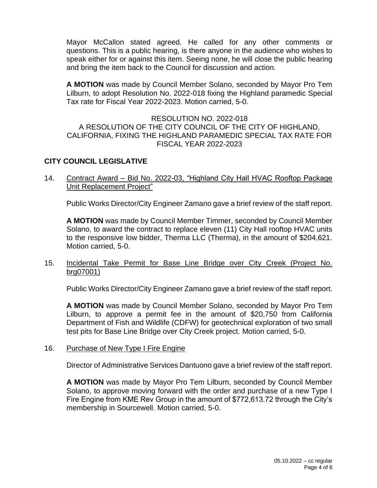Mayor McCallon stated agreed. He called for any other comments or questions. This is a public hearing, is there anyone in the audience who wishes to speak either for or against this item. Seeing none, he will close the public hearing and bring the item back to the Council for discussion and action.

**A MOTION** was made by Council Member Solano, seconded by Mayor Pro Tem Lilburn, to adopt Resolution No. 2022-018 fixing the Highland paramedic Special Tax rate for Fiscal Year 2022-2023. Motion carried, 5-0.

#### RESOLUTION NO. 2022-018 A RESOLUTION OF THE CITY COUNCIL OF THE CITY OF HIGHLAND, CALIFORNIA, FIXING THE HIGHLAND PARAMEDIC SPECIAL TAX RATE FOR FISCAL YEAR 2022-2023

## **CITY COUNCIL LEGISLATIVE**

14. Contract Award – Bid No. 2022-03, "Highland City Hall HVAC Rooftop Package Unit Replacement Project"

Public Works Director/City Engineer Zamano gave a brief review of the staff report.

**A MOTION** was made by Council Member Timmer, seconded by Council Member Solano, to award the contract to replace eleven (11) City Hall rooftop HVAC units to the responsive low bidder, Therma LLC (Therma), in the amount of \$204,621. Motion carried, 5-0.

### 15. Incidental Take Permit for Base Line Bridge over City Creek (Project No. brg07001)

Public Works Director/City Engineer Zamano gave a brief review of the staff report.

**A MOTION** was made by Council Member Solano, seconded by Mayor Pro Tem Lilburn, to approve a permit fee in the amount of \$20,750 from California Department of Fish and Wildlife (CDFW) for geotechnical exploration of two small test pits for Base Line Bridge over City Creek project. Motion carried, 5-0.

### 16. Purchase of New Type I Fire Engine

Director of Administrative Services Dantuono gave a brief review of the staff report.

**A MOTION** was made by Mayor Pro Tem Lilburn, seconded by Council Member Solano, to approve moving forward with the order and purchase of a new Type I Fire Engine from KME Rev Group in the amount of \$772,613.72 through the City's membership in Sourcewell. Motion carried, 5-0.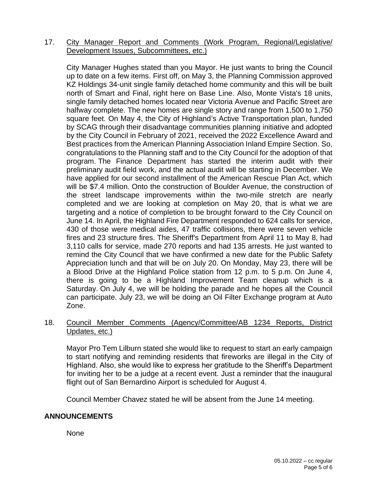### 17. City Manager Report and Comments (Work Program, Regional/Legislative/ Development Issues, Subcommittees, etc.)

City Manager Hughes stated than you Mayor. He just wants to bring the Council up to date on a few items. First off, on May 3, the Planning Commission approved KZ Holdings 34-unit single family detached home community and this will be built north of Smart and Final, right here on Base Line. Also, Monte Vista's 18 units, single family detached homes located near Victoria Avenue and Pacific Street are halfway complete. The new homes are single story and range from 1,500 to 1,750 square feet. On May 4, the City of Highland's Active Transportation plan, funded by SCAG through their disadvantage communities planning initiative and adopted by the City Council in February of 2021, received the 2022 Excellence Award and Best practices from the American Planning Association Inland Empire Section. So, congratulations to the Planning staff and to the City Council for the adoption of that program. The Finance Department has started the interim audit with their preliminary audit field work, and the actual audit will be starting in December. We have applied for our second installment of the American Rescue Plan Act, which will be \$7.4 million. Onto the construction of Boulder Avenue, the construction of the street landscape improvements within the two-mile stretch are nearly completed and we are looking at completion on May 20, that is what we are targeting and a notice of completion to be brought forward to the City Council on June 14. In April, the Highland Fire Department responded to 624 calls for service, 430 of those were medical aides, 47 traffic collisions, there were seven vehicle fires and 23 structure fires. The Sheriff's Department from April 11 to May 8, had 3,110 calls for service, made 270 reports and had 135 arrests. He just wanted to remind the City Council that we have confirmed a new date for the Public Safety Appreciation lunch and that will be on July 20. On Monday, May 23, there will be a Blood Drive at the Highland Police station from 12 p.m. to 5 p.m. On June 4, there is going to be a Highland Improvement Team cleanup which is a Saturday. On July 4, we will be holding the parade and he hopes all the Council can participate. July 23, we will be doing an Oil Filter Exchange program at Auto Zone.

## 18. Council Member Comments (Agency/Committee/AB 1234 Reports, District Updates, etc.)

Mayor Pro Tem Lilburn stated she would like to request to start an early campaign to start notifying and reminding residents that fireworks are illegal in the City of Highland. Also, she would like to express her gratitude to the Sheriff's Department for inviting her to be a judge at a recent event. Just a reminder that the inaugural flight out of San Bernardino Airport is scheduled for August 4.

Council Member Chavez stated he will be absent from the June 14 meeting.

### **ANNOUNCEMENTS**

None